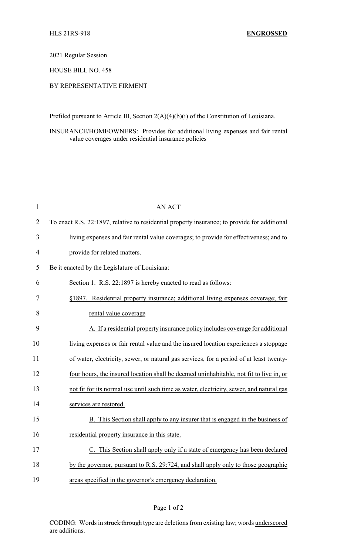#### 2021 Regular Session

#### HOUSE BILL NO. 458

# BY REPRESENTATIVE FIRMENT

Prefiled pursuant to Article III, Section 2(A)(4)(b)(i) of the Constitution of Louisiana.

## INSURANCE/HOMEOWNERS: Provides for additional living expenses and fair rental value coverages under residential insurance policies

| $\mathbf{1}$   | <b>AN ACT</b>                                                                                |
|----------------|----------------------------------------------------------------------------------------------|
| $\overline{2}$ | To enact R.S. 22:1897, relative to residential property insurance; to provide for additional |
| 3              | living expenses and fair rental value coverages; to provide for effectiveness; and to        |
| $\overline{4}$ | provide for related matters.                                                                 |
| 5              | Be it enacted by the Legislature of Louisiana:                                               |
| 6              | Section 1. R.S. 22:1897 is hereby enacted to read as follows:                                |
| 7              | §1897. Residential property insurance; additional living expenses coverage; fair             |
| 8              | rental value coverage                                                                        |
| 9              | A. If a residential property insurance policy includes coverage for additional               |
| 10             | living expenses or fair rental value and the insured location experiences a stoppage         |
| 11             | of water, electricity, sewer, or natural gas services, for a period of at least twenty-      |
| 12             | four hours, the insured location shall be deemed uninhabitable, not fit to live in, or       |
| 13             | not fit for its normal use until such time as water, electricity, sewer, and natural gas     |
| 14             | services are restored.                                                                       |
| 15             | B. This Section shall apply to any insurer that is engaged in the business of                |
| 16             | residential property insurance in this state.                                                |
| 17             | C. This Section shall apply only if a state of emergency has been declared                   |
| 18             | by the governor, pursuant to R.S. 29:724, and shall apply only to those geographic           |
| 19             | areas specified in the governor's emergency declaration.                                     |

# Page 1 of 2

CODING: Words in struck through type are deletions from existing law; words underscored are additions.